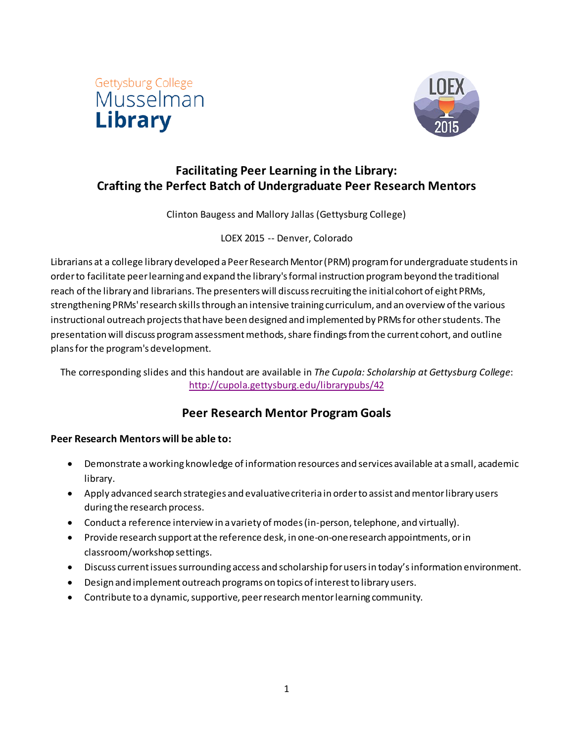



# **Facilitating Peer Learning in the Library: Crafting the Perfect Batch of Undergraduate Peer Research Mentors**

Clinton Baugess and Mallory Jallas (Gettysburg College)

LOEX 2015 -- Denver, Colorado

Librarians at a college library developed a Peer Research Mentor (PRM) program for undergraduate students in order to facilitate peer learning and expand the library's formal instruction program beyond the traditional reach of the library and librarians. The presenters will discuss recruiting the initial cohort of eight PRMs, strengthening PRMs' research skills through an intensive training curriculum, and an overview of the various instructional outreach projects that have been designed and implemented by PRMs for other students. The presentation will discuss program assessment methods, share findings from the current cohort, and outline plans for the program's development.

The corresponding slides and this handout are available in *The Cupola: Scholarship at Gettysburg College*: <http://cupola.gettysburg.edu/librarypubs/42>

# **Peer Research Mentor Program Goals**

## **Peer Research Mentors will be able to:**

- Demonstrate a working knowledge of information resources and services available at a small, academic library.
- Apply advanced search strategies and evaluative criteria in order to assist and mentor library users during the research process.
- Conduct a reference interview in a variety of modes (in-person, telephone, and virtually).
- Provide research support at the reference desk, in one-on-one research appointments, or in classroom/workshop settings.
- Discuss current issues surrounding access and scholarship for users in today's information environment.
- Design and implement outreach programs on topics of interest to library users.
- Contribute to a dynamic, supportive, peer research mentor learning community.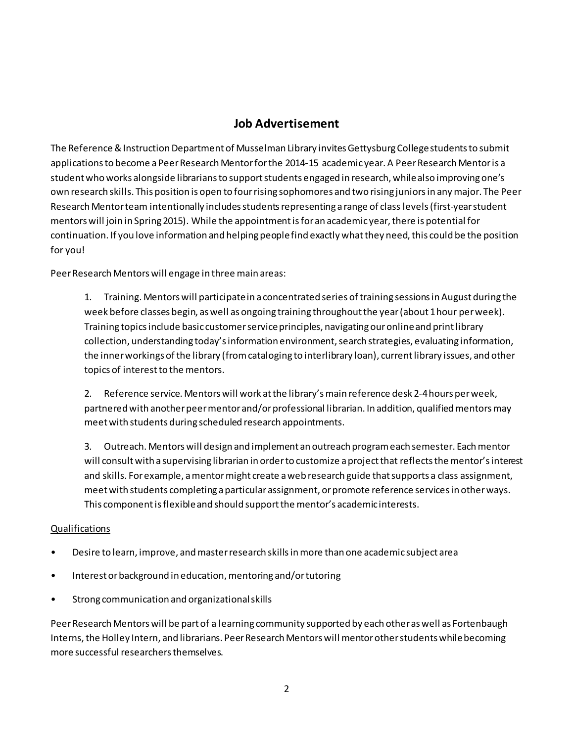# **Job Advertisement**

The Reference &Instruction Department of Musselman Library invites Gettysburg College students to submit applications to become a Peer Research Mentor for the 2014-15 academic year. A Peer Research Mentor is a student who works alongside librarians to support students engaged in research, while also improving one's own research skills. This position is open to four rising sophomores and two rising juniors in any major. The Peer Research Mentor team intentionally includes students representing a range of class levels (first-year student mentors will join in Spring 2015). While the appointment is for an academic year, there is potential for continuation. If you love information and helping people find exactly what they need, this could be the position for you!

Peer Research Mentors will engage in three main areas:

1. Training. Mentors will participate in a concentrated series of training sessions in August during the week before classes begin, as well as ongoing training throughout the year (about 1 hour per week). Training topics include basic customer service principles, navigating our online and print library collection, understanding today's information environment, search strategies, evaluating information, the inner workings of the library (from cataloging to interlibrary loan), current library issues, and other topics of interest to the mentors.

2. Reference service. Mentors will work at the library's main reference desk 2-4 hours per week, partnered with another peer mentor and/or professional librarian. In addition, qualified mentors may meet with students during scheduled research appointments.

3. Outreach. Mentors will design and implement an outreach program each semester. Each mentor will consult with a supervising librarian in order to customize a project that reflects the mentor's interest and skills. For example, a mentor might create a web research guide that supports a class assignment, meet with students completing a particular assignment, or promote reference services in other ways. This componentis flexible and should support the mentor's academic interests.

### Qualifications

- Desire to learn, improve, and master research skills in more than one academic subject area
- Interest or background in education, mentoring and/or tutoring
- Strong communication and organizational skills

Peer Research Mentors will be part of a learning community supported by each other as well as Fortenbaugh Interns, the Holley Intern, and librarians. Peer Research Mentors will mentor other students while becoming more successful researchers themselves.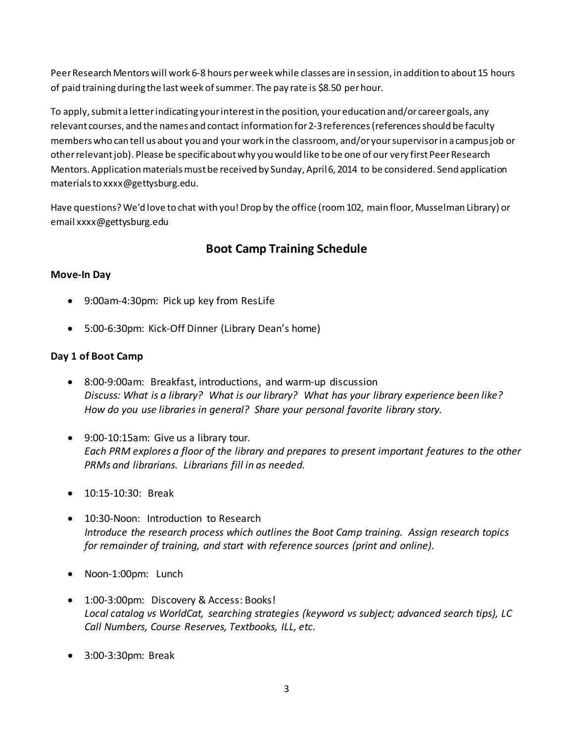Peer Research Mentors will work 6-8 hours per week while classes are in session, in addition to about 15 hours of paid training during the last week of summer. The pay rate is \$8.50 per hour.

To apply, submit a letter indicating your interest in the position, your education and/or career goals, any relevant courses, and the names and contact information for 2-3 references (references should be faculty members who can tell us about you and your work in the classroom, and/or your supervisor in a campus job or other relevant job). Please be specific about why you would like to be one of our very first Peer Research Mentors. Application materials must be received by Sunday, April 6, 2014 to be considered. Send application materials to xxxx@gettysburg.edu.

Have questions? We'd love to chat with you! Drop by the office (room 102, main floor, Musselman Library) or email xxxx@gettysburg.edu

# **Boot Camp Training Schedule**

## **Move-In Day**

- 9:00am-4:30pm: Pick up key from ResLife
- 5:00-6:30pm: Kick-Off Dinner (Library Dean's home)

## **Day 1 of Boot Camp**

- 8:00-9:00am: Breakfast, introductions, and warm-up discussion *Discuss: What is a library? What is our library? What has your library experience been like? How do you use libraries in general? Share your personal favorite library story.*
- 9:00-10:15am: Give us a library tour. *Each PRM explores a floor of the library and prepares to present important features to the other PRMs and librarians. Librarians fill in as needed.*
- 10:15-10:30: Break
- 10:30-Noon: Introduction to Research *Introduce the research process which outlines the Boot Camp training. Assign research topics for remainder of training, and start with reference sources (print and online).*
- Noon-1:00pm: Lunch
- 1:00-3:00pm: Discovery & Access: Books! *Local catalog vs WorldCat, searching strategies (keyword vs subject; advanced search tips), LC Call Numbers, Course Reserves, Textbooks, ILL, etc.*
- 3:00-3:30pm: Break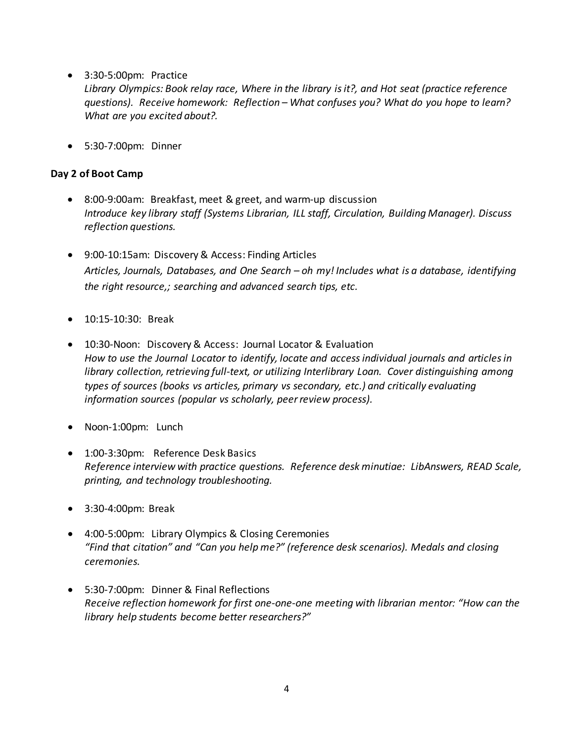• 3:30-5:00pm: Practice

*Library Olympics: Book relay race, Where in the library is it?, and Hot seat (practice reference questions). Receive homework: Reflection – What confuses you? What do you hope to learn? What are you excited about?.*

• 5:30-7:00pm: Dinner

## **Day 2 of Boot Camp**

- 8:00-9:00am: Breakfast, meet & greet, and warm-up discussion *Introduce key library staff (Systems Librarian, ILL staff, Circulation, Building Manager). Discuss reflection questions.*
- 9:00-10:15am: Discovery & Access: Finding Articles *Articles, Journals, Databases, and One Search – oh my! Includes what is a database, identifying the right resource,; searching and advanced search tips, etc.*
- 10:15-10:30: Break
- 10:30-Noon: Discovery & Access: Journal Locator & Evaluation *How to use the Journal Locator to identify, locate and access individual journals and articles in library collection, retrieving full-text, or utilizing Interlibrary Loan. Cover distinguishing among types of sources (books vs articles, primary vs secondary, etc.) and critically evaluating information sources (popular vs scholarly, peer review process).*
- Noon-1:00pm: Lunch
- 1:00-3:30pm: Reference Desk Basics *Reference interview with practice questions. Reference desk minutiae: LibAnswers, READ Scale, printing, and technology troubleshooting.*
- 3:30-4:00pm: Break
- 4:00-5:00pm: Library Olympics & Closing Ceremonies *"Find that citation" and "Can you help me?" (reference desk scenarios). Medals and closing ceremonies.*
- 5:30-7:00pm: Dinner & Final Reflections *Receive reflection homework for first one-one-one meeting with librarian mentor: "How can the library help students become better researchers?"*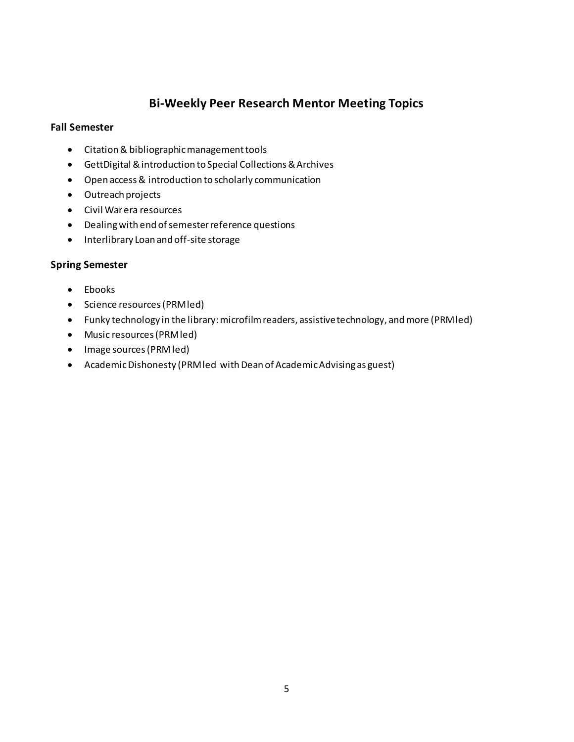# **Bi-Weekly Peer Research Mentor Meeting Topics**

### **Fall Semester**

- Citation & bibliographic management tools
- GettDigital & introduction to Special Collections & Archives
- Open access & introduction to scholarly communication
- Outreach projects
- Civil War era resources
- Dealing with end of semester reference questions
- Interlibrary Loan and off-site storage

## **Spring Semester**

- Ebooks
- Science resources (PRM led)
- Funky technology in the library: microfilm readers, assistive technology, and more (PRM led)
- Music resources (PRM led)
- Image sources (PRM led)
- Academic Dishonesty (PRM led with Dean of Academic Advising as guest)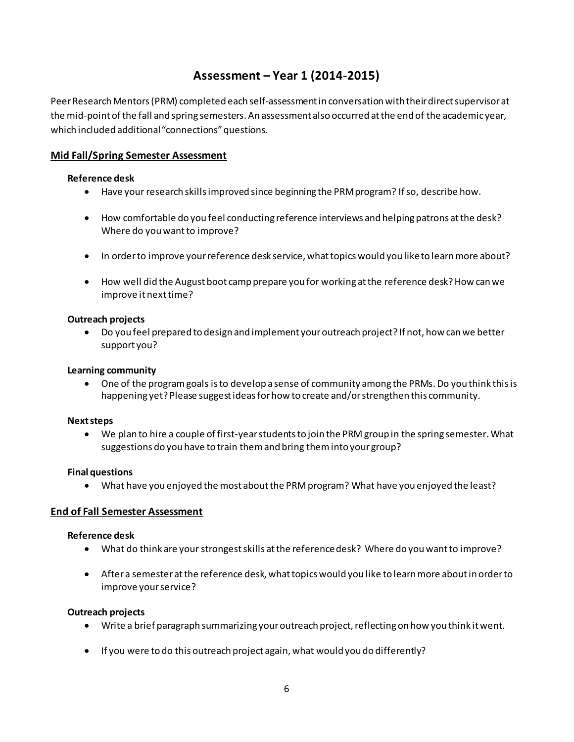# **Assessment – Year 1 (2014-2015)**

Peer Research Mentors (PRM) completed each self-assessment in conversation with their direct supervisor at the mid-point of the fall and spring semesters. An assessment also occurred at the end of the academic year, which included additional "connections" questions.

### **Mid Fall/Spring Semester Assessment**

### **Reference desk**

- Have your research skills improved since beginning the PRM program? If so, describe how.
- How comfortable do you feel conducting reference interviews and helping patrons at the desk? Where do you want to improve?
- In order to improve your reference desk service, what topics would you like to learn more about?
- How well did the August boot camp prepare you for working at the reference desk? How can we improve it next time?

### **Outreach projects**

• Do you feel prepared to design and implement your outreach project? If not, how can we better support you?

#### **Learning community**

• One of the program goals is to develop a sense of community among the PRMs. Do you think this is happening yet? Please suggest ideas for how to create and/or strengthen this community.

#### **Next steps**

• We plan to hire a couple of first-year students to join the PRM group in the spring semester. What suggestions do you have to train them and bring them into your group?

#### **Final questions**

• What have you enjoyed the most about the PRM program? What have you enjoyed the least?

#### **End of Fall Semester Assessment**

#### **Reference desk**

- What do think are your strongest skills at the reference desk? Where do you want to improve?
- After a semester at the reference desk, what topics would you like to learn more about in order to improve your service?

#### **Outreach projects**

- Write a brief paragraph summarizing your outreach project, reflecting on how you think it went.
- If you were to do this outreach project again, what would you do differently?